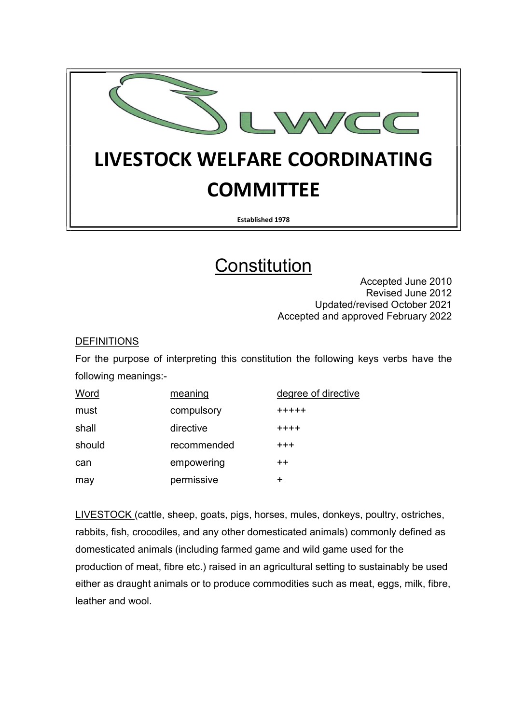

Established 1978

# **Constitution**

Accepted June 2010 Revised June 2012 Updated/revised October 2021 Accepted and approved February 2022

### **DEFINITIONS**

For the purpose of interpreting this constitution the following keys verbs have the following meanings:-

| Word   | meaning     | degree of directive |
|--------|-------------|---------------------|
| must   | compulsory  | $+ + + + +$         |
| shall  | directive   | $+ + + +$           |
| should | recommended | $^{+++}$            |
| can    | empowering  | $++$                |
| may    | permissive  | ┿                   |

LIVESTOCK (cattle, sheep, goats, pigs, horses, mules, donkeys, poultry, ostriches, rabbits, fish, crocodiles, and any other domesticated animals) commonly defined as domesticated animals (including farmed game and wild game used for the production of meat, fibre etc.) raised in an agricultural setting to sustainably be used either as draught animals or to produce commodities such as meat, eggs, milk, fibre, leather and wool.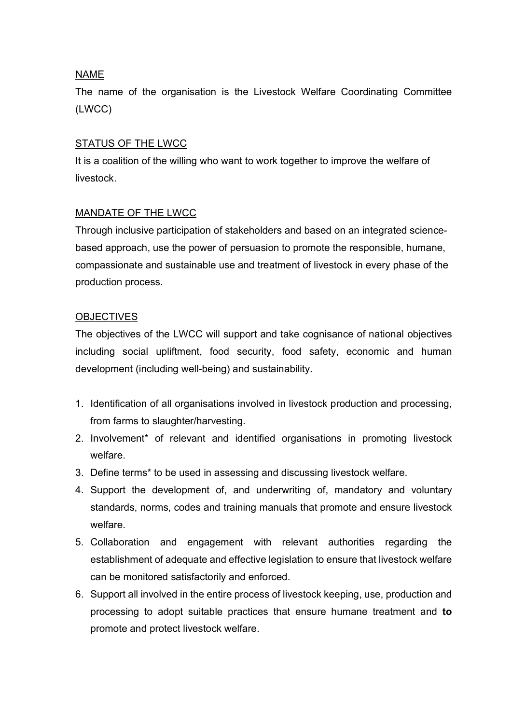## NAME

The name of the organisation is the Livestock Welfare Coordinating Committee (LWCC)

# STATUS OF THE LWCC

It is a coalition of the willing who want to work together to improve the welfare of livestock.

### MANDATE OF THE LWCC

Through inclusive participation of stakeholders and based on an integrated sciencebased approach, use the power of persuasion to promote the responsible, humane, compassionate and sustainable use and treatment of livestock in every phase of the production process.

### **OBJECTIVES**

The objectives of the LWCC will support and take cognisance of national objectives including social upliftment, food security, food safety, economic and human development (including well-being) and sustainability.

- 1. Identification of all organisations involved in livestock production and processing, from farms to slaughter/harvesting.
- 2. Involvement\* of relevant and identified organisations in promoting livestock welfare.
- 3. Define terms\* to be used in assessing and discussing livestock welfare.
- 4. Support the development of, and underwriting of, mandatory and voluntary standards, norms, codes and training manuals that promote and ensure livestock welfare.
- 5. Collaboration and engagement with relevant authorities regarding the establishment of adequate and effective legislation to ensure that livestock welfare can be monitored satisfactorily and enforced.
- 6. Support all involved in the entire process of livestock keeping, use, production and processing to adopt suitable practices that ensure humane treatment and to promote and protect livestock welfare.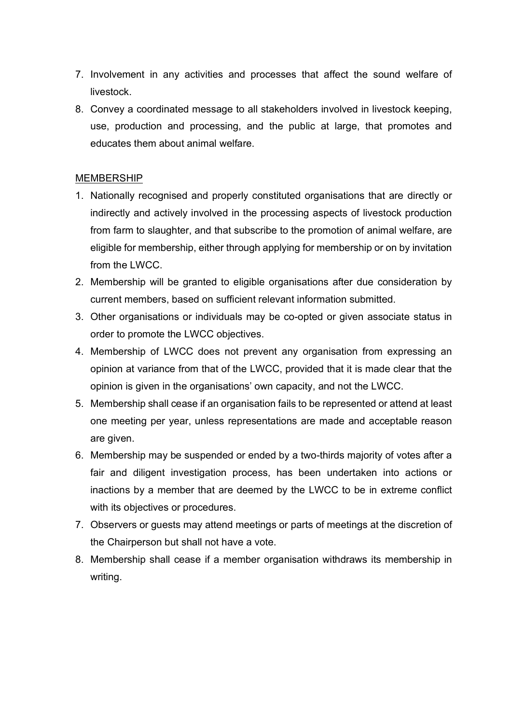- 7. Involvement in any activities and processes that affect the sound welfare of livestock.
- 8. Convey a coordinated message to all stakeholders involved in livestock keeping, use, production and processing, and the public at large, that promotes and educates them about animal welfare.

#### **MEMBERSHIP**

- 1. Nationally recognised and properly constituted organisations that are directly or indirectly and actively involved in the processing aspects of livestock production from farm to slaughter, and that subscribe to the promotion of animal welfare, are eligible for membership, either through applying for membership or on by invitation from the LWCC.
- 2. Membership will be granted to eligible organisations after due consideration by current members, based on sufficient relevant information submitted.
- 3. Other organisations or individuals may be co-opted or given associate status in order to promote the LWCC objectives.
- 4. Membership of LWCC does not prevent any organisation from expressing an opinion at variance from that of the LWCC, provided that it is made clear that the opinion is given in the organisations' own capacity, and not the LWCC.
- 5. Membership shall cease if an organisation fails to be represented or attend at least one meeting per year, unless representations are made and acceptable reason are given.
- 6. Membership may be suspended or ended by a two-thirds majority of votes after a fair and diligent investigation process, has been undertaken into actions or inactions by a member that are deemed by the LWCC to be in extreme conflict with its objectives or procedures.
- 7. Observers or guests may attend meetings or parts of meetings at the discretion of the Chairperson but shall not have a vote.
- 8. Membership shall cease if a member organisation withdraws its membership in writing.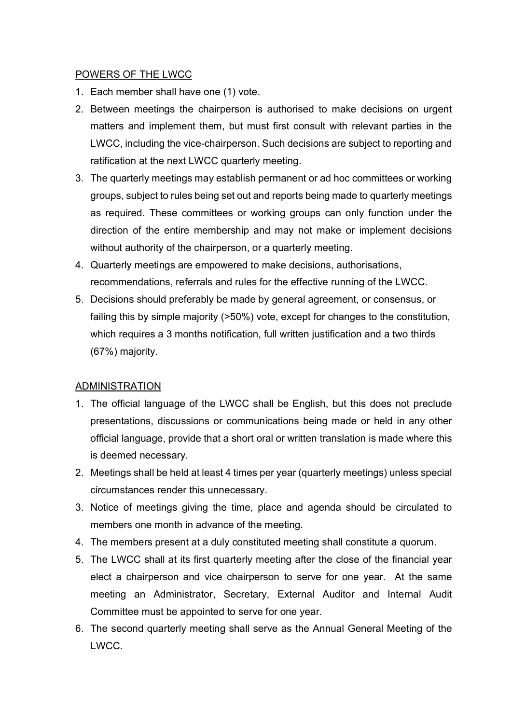### POWERS OF THE LWCC

- 1. Each member shall have one (1) vote.
- 2. Between meetings the chairperson is authorised to make decisions on urgent matters and implement them, but must first consult with relevant parties in the LWCC, including the vice-chairperson. Such decisions are subject to reporting and ratification at the next LWCC quarterly meeting.
- 3. The quarterly meetings may establish permanent or ad hoc committees or working groups, subject to rules being set out and reports being made to quarterly meetings as required. These committees or working groups can only function under the direction of the entire membership and may not make or implement decisions without authority of the chairperson, or a quarterly meeting.
- 4. Quarterly meetings are empowered to make decisions, authorisations, recommendations, referrals and rules for the effective running of the LWCC.
- 5. Decisions should preferably be made by general agreement, or consensus, or failing this by simple majority (>50%) vote, except for changes to the constitution, which requires a 3 months notification, full written justification and a two thirds (67%) majority.

# ADMINISTRATION

- 1. The official language of the LWCC shall be English, but this does not preclude presentations, discussions or communications being made or held in any other official language, provide that a short oral or written translation is made where this is deemed necessary.
- 2. Meetings shall be held at least 4 times per year (quarterly meetings) unless special circumstances render this unnecessary.
- 3. Notice of meetings giving the time, place and agenda should be circulated to members one month in advance of the meeting.
- 4. The members present at a duly constituted meeting shall constitute a quorum.
- 5. The LWCC shall at its first quarterly meeting after the close of the financial year elect a chairperson and vice chairperson to serve for one year. At the same meeting an Administrator, Secretary, External Auditor and Internal Audit Committee must be appointed to serve for one year.
- 6. The second quarterly meeting shall serve as the Annual General Meeting of the LWCC.